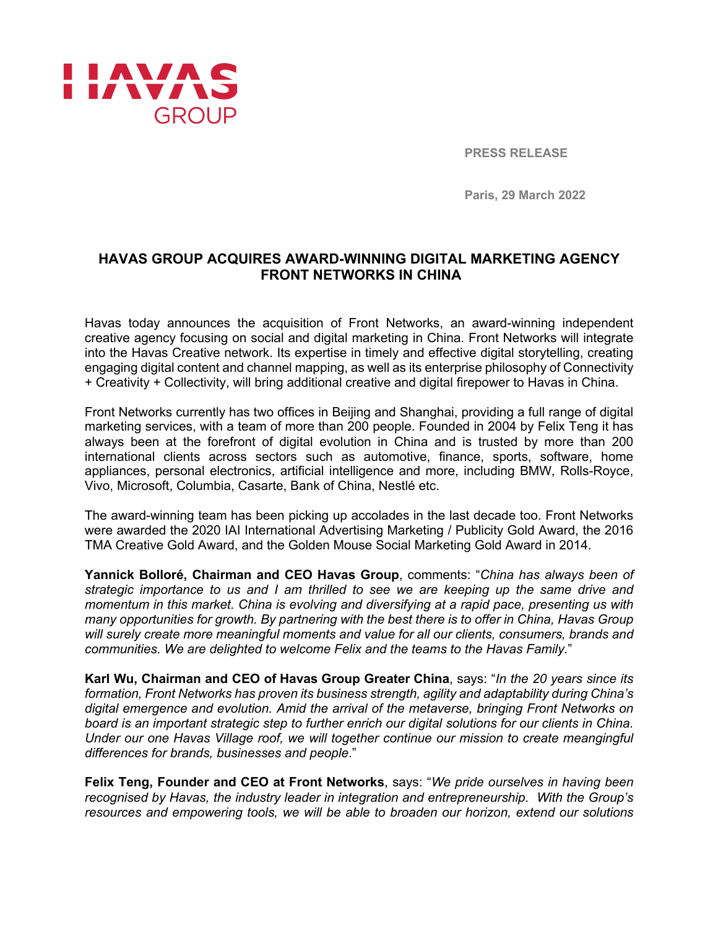

**PRESS RELEASE**

**Paris, 29 March 2022**

# **HAVAS GROUP ACQUIRES AWARD-WINNING DIGITAL MARKETING AGENCY FRONT NETWORKS IN CHINA**

Havas today announces the acquisition of Front Networks, an award-winning independent creative agency focusing on social and digital marketing in China. Front Networks will integrate into the Havas Creative network. Its expertise in timely and effective digital storytelling, creating engaging digital content and channel mapping, as well as its enterprise philosophy of Connectivity + Creativity + Collectivity, will bring additional creative and digital firepower to Havas in China.

Front Networks currently has two offices in Beijing and Shanghai, providing a full range of digital marketing services, with a team of more than 200 people. Founded in 2004 by Felix Teng it has always been at the forefront of digital evolution in China and is trusted by more than 200 international clients across sectors such as automotive, finance, sports, software, home appliances, personal electronics, artificial intelligence and more, including BMW, Rolls-Royce, Vivo, Microsoft, Columbia, Casarte, Bank of China, Nestlé etc.

The award-winning team has been picking up accolades in the last decade too. Front Networks were awarded the 2020 IAI International Advertising Marketing / Publicity Gold Award, the 2016 TMA Creative Gold Award, and the Golden Mouse Social Marketing Gold Award in 2014.

**Yannick Bolloré, Chairman and CEO Havas Group**, comments: "*China has always been of strategic importance to us and I am thrilled to see we are keeping up the same drive and momentum in this market. China is evolving and diversifying at a rapid pace, presenting us with many opportunities for growth. By partnering with the best there is to offer in China, Havas Group will surely create more meaningful moments and value for all our clients, consumers, brands and communities. We are delighted to welcome Felix and the teams to the Havas Family.*"

**Karl Wu, Chairman and CEO of Havas Group Greater China**, says: "*In the 20 years since its formation, Front Networks has proven its business strength, agility and adaptability during China's digital emergence and evolution. Amid the arrival of the metaverse, bringing Front Networks on board is an important strategic step to further enrich our digital solutions for our clients in China. Under our one Havas Village roof, we will together continue our mission to create meangingful differences for brands, businesses and people*."

**Felix Teng, Founder and CEO at Front Networks**, says: "*We pride ourselves in having been recognised by Havas, the industry leader in integration and entrepreneurship. With the Group's resources and empowering tools, we will be able to broaden our horizon, extend our solutions*